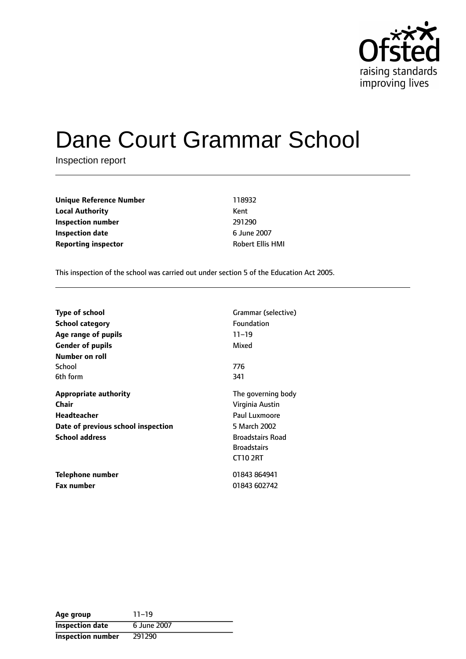

# Dane Court Grammar School

Inspection report

**Unique Reference Number** 118932 **Local Authority** Kent **Inspection number** 291290 **Inspection date** 6 June 2007 **Reporting inspector Robert Ellis HMI** 

This inspection of the school was carried out under section 5 of the Education Act 2005.

| <b>Type of school</b>              | Grammar (selective)     |  |
|------------------------------------|-------------------------|--|
| <b>School category</b>             | Foundation              |  |
| Age range of pupils                | $11 - 19$               |  |
| <b>Gender of pupils</b>            | Mixed                   |  |
| Number on roll                     |                         |  |
| School                             | 776                     |  |
| 6th form                           | 341                     |  |
| <b>Appropriate authority</b>       | The governing body      |  |
| Chair                              | Virginia Austin         |  |
| Headteacher                        | Paul Luxmoore           |  |
| Date of previous school inspection | 5 March 2002            |  |
| <b>School address</b>              | <b>Broadstairs Road</b> |  |
|                                    | <b>Broadstairs</b>      |  |
|                                    | CT102RT                 |  |
| Telephone number                   | 01843 864941            |  |
| <b>Fax number</b>                  | 01843 602742            |  |

| Age group                | $11 - 19$   |
|--------------------------|-------------|
| <b>Inspection date</b>   | 6 June 2007 |
| <b>Inspection number</b> | 291290      |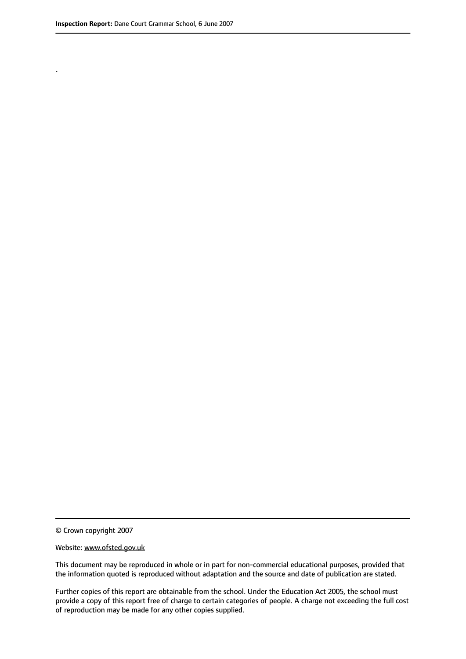.

© Crown copyright 2007

#### Website: www.ofsted.gov.uk

This document may be reproduced in whole or in part for non-commercial educational purposes, provided that the information quoted is reproduced without adaptation and the source and date of publication are stated.

Further copies of this report are obtainable from the school. Under the Education Act 2005, the school must provide a copy of this report free of charge to certain categories of people. A charge not exceeding the full cost of reproduction may be made for any other copies supplied.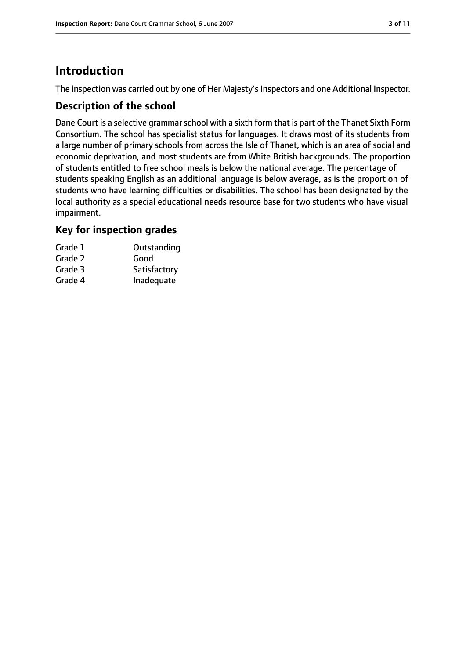# **Introduction**

The inspection was carried out by one of Her Majesty's Inspectors and one Additional Inspector.

## **Description of the school**

Dane Court is a selective grammar school with a sixth form that is part of the Thanet Sixth Form Consortium. The school has specialist status for languages. It draws most of its students from a large number of primary schools from across the Isle of Thanet, which is an area of social and economic deprivation, and most students are from White British backgrounds. The proportion of students entitled to free school meals is below the national average. The percentage of students speaking English as an additional language is below average, as is the proportion of students who have learning difficulties or disabilities. The school has been designated by the local authority as a special educational needs resource base for two students who have visual impairment.

## **Key for inspection grades**

| Grade 1 | Outstanding  |
|---------|--------------|
| Grade 2 | Good         |
| Grade 3 | Satisfactory |
| Grade 4 | Inadequate   |
|         |              |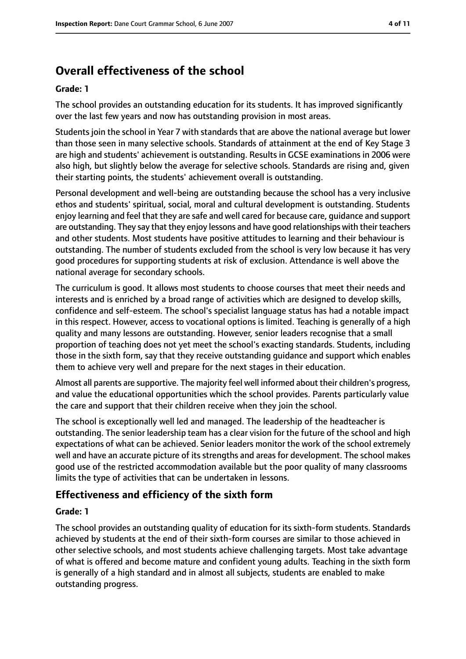# **Overall effectiveness of the school**

#### **Grade: 1**

The school provides an outstanding education for its students. It has improved significantly over the last few years and now has outstanding provision in most areas.

Students join the school in Year 7 with standards that are above the national average but lower than those seen in many selective schools. Standards of attainment at the end of Key Stage 3 are high and students' achievement is outstanding. Results in GCSE examinations in 2006 were also high, but slightly below the average for selective schools. Standards are rising and, given their starting points, the students' achievement overall is outstanding.

Personal development and well-being are outstanding because the school has a very inclusive ethos and students' spiritual, social, moral and cultural development is outstanding. Students enjoy learning and feel that they are safe and well cared for because care, guidance and support are outstanding. They say that they enjoy lessons and have good relationships with their teachers and other students. Most students have positive attitudes to learning and their behaviour is outstanding. The number of students excluded from the school is very low because it has very good procedures for supporting students at risk of exclusion. Attendance is well above the national average for secondary schools.

The curriculum is good. It allows most students to choose courses that meet their needs and interests and is enriched by a broad range of activities which are designed to develop skills, confidence and self-esteem. The school's specialist language status has had a notable impact in this respect. However, access to vocational options is limited. Teaching is generally of a high quality and many lessons are outstanding. However, senior leaders recognise that a small proportion of teaching does not yet meet the school's exacting standards. Students, including those in the sixth form, say that they receive outstanding guidance and support which enables them to achieve very well and prepare for the next stages in their education.

Almost all parents are supportive. The majority feel well informed about their children's progress, and value the educational opportunities which the school provides. Parents particularly value the care and support that their children receive when they join the school.

The school is exceptionally well led and managed. The leadership of the headteacher is outstanding. The senior leadership team has a clear vision for the future of the school and high expectations of what can be achieved. Senior leaders monitor the work of the school extremely well and have an accurate picture of its strengths and areas for development. The school makes good use of the restricted accommodation available but the poor quality of many classrooms limits the type of activities that can be undertaken in lessons.

#### **Effectiveness and efficiency of the sixth form**

#### **Grade: 1**

The school provides an outstanding quality of education for its sixth-form students. Standards achieved by students at the end of their sixth-form courses are similar to those achieved in other selective schools, and most students achieve challenging targets. Most take advantage of what is offered and become mature and confident young adults. Teaching in the sixth form is generally of a high standard and in almost all subjects, students are enabled to make outstanding progress.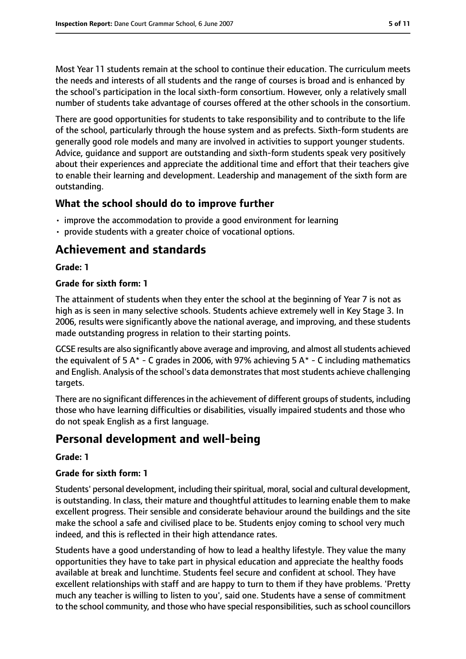Most Year 11 students remain at the school to continue their education. The curriculum meets the needs and interests of all students and the range of courses is broad and is enhanced by the school's participation in the local sixth-form consortium. However, only a relatively small number of students take advantage of courses offered at the other schools in the consortium.

There are good opportunities for students to take responsibility and to contribute to the life of the school, particularly through the house system and as prefects. Sixth-form students are generally good role models and many are involved in activities to support younger students. Advice, guidance and support are outstanding and sixth-form students speak very positively about their experiences and appreciate the additional time and effort that their teachers give to enable their learning and development. Leadership and management of the sixth form are outstanding.

## **What the school should do to improve further**

- improve the accommodation to provide a good environment for learning
- provide students with a greater choice of vocational options.

# **Achievement and standards**

#### **Grade: 1**

#### **Grade for sixth form: 1**

The attainment of students when they enter the school at the beginning of Year 7 is not as high as is seen in many selective schools. Students achieve extremely well in Key Stage 3. In 2006, results were significantly above the national average, and improving, and these students made outstanding progress in relation to their starting points.

GCSE results are also significantly above average and improving, and almost allstudents achieved the equivalent of 5 A\* - C grades in 2006, with 97% achieving 5 A\* - C including mathematics and English. Analysis of the school's data demonstrates that most students achieve challenging targets.

There are no significant differences in the achievement of different groups of students, including those who have learning difficulties or disabilities, visually impaired students and those who do not speak English as a first language.

# **Personal development and well-being**

#### **Grade: 1**

#### **Grade for sixth form: 1**

Students' personal development, including their spiritual, moral, social and cultural development, is outstanding. In class, their mature and thoughtful attitudes to learning enable them to make excellent progress. Their sensible and considerate behaviour around the buildings and the site make the school a safe and civilised place to be. Students enjoy coming to school very much indeed, and this is reflected in their high attendance rates.

Students have a good understanding of how to lead a healthy lifestyle. They value the many opportunities they have to take part in physical education and appreciate the healthy foods available at break and lunchtime. Students feel secure and confident at school. They have excellent relationships with staff and are happy to turn to them if they have problems. 'Pretty much any teacher is willing to listen to you', said one. Students have a sense of commitment to the school community, and those who have special responsibilities, such as school councillors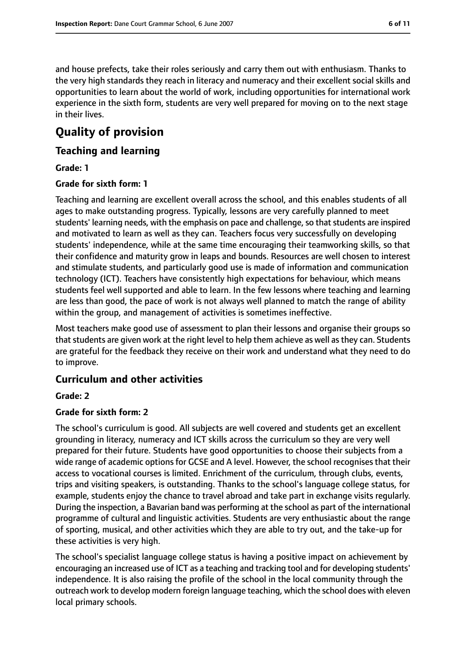and house prefects, take their roles seriously and carry them out with enthusiasm. Thanks to the very high standards they reach in literacy and numeracy and their excellent social skills and opportunities to learn about the world of work, including opportunities for international work experience in the sixth form, students are very well prepared for moving on to the next stage in their lives.

# **Quality of provision**

## **Teaching and learning**

#### **Grade: 1**

#### **Grade for sixth form: 1**

Teaching and learning are excellent overall across the school, and this enables students of all ages to make outstanding progress. Typically, lessons are very carefully planned to meet students' learning needs, with the emphasis on pace and challenge, so that students are inspired and motivated to learn as well as they can. Teachers focus very successfully on developing students' independence, while at the same time encouraging their teamworking skills, so that their confidence and maturity grow in leaps and bounds. Resources are well chosen to interest and stimulate students, and particularly good use is made of information and communication technology (ICT). Teachers have consistently high expectations for behaviour, which means students feel well supported and able to learn. In the few lessons where teaching and learning are less than good, the pace of work is not always well planned to match the range of ability within the group, and management of activities is sometimes ineffective.

Most teachers make good use of assessment to plan their lessons and organise their groups so that students are given work at the right level to help them achieve as well as they can. Students are grateful for the feedback they receive on their work and understand what they need to do to improve.

## **Curriculum and other activities**

#### **Grade: 2**

#### **Grade for sixth form: 2**

The school's curriculum is good. All subjects are well covered and students get an excellent grounding in literacy, numeracy and ICT skills across the curriculum so they are very well prepared for their future. Students have good opportunities to choose their subjects from a wide range of academic options for GCSE and A level. However, the school recognises that their access to vocational courses is limited. Enrichment of the curriculum, through clubs, events, trips and visiting speakers, is outstanding. Thanks to the school's language college status, for example, students enjoy the chance to travel abroad and take part in exchange visits regularly. During the inspection, a Bavarian band was performing at the school as part of the international programme of cultural and linguistic activities. Students are very enthusiastic about the range of sporting, musical, and other activities which they are able to try out, and the take-up for these activities is very high.

The school's specialist language college status is having a positive impact on achievement by encouraging an increased use of ICT as a teaching and tracking tool and for developing students' independence. It is also raising the profile of the school in the local community through the outreach work to develop modern foreign language teaching, which the school does with eleven local primary schools.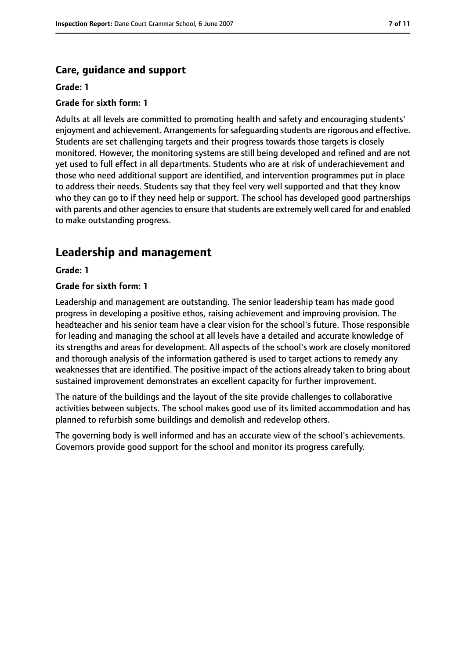## **Care, guidance and support**

#### **Grade: 1**

#### **Grade for sixth form: 1**

Adults at all levels are committed to promoting health and safety and encouraging students' enjoyment and achievement. Arrangements for safeguarding students are rigorous and effective. Students are set challenging targets and their progress towards those targets is closely monitored. However, the monitoring systems are still being developed and refined and are not yet used to full effect in all departments. Students who are at risk of underachievement and those who need additional support are identified, and intervention programmes put in place to address their needs. Students say that they feel very well supported and that they know who they can go to if they need help or support. The school has developed good partnerships with parents and other agencies to ensure that students are extremely well cared for and enabled to make outstanding progress.

# **Leadership and management**

#### **Grade: 1**

#### **Grade for sixth form: 1**

Leadership and management are outstanding. The senior leadership team has made good progress in developing a positive ethos, raising achievement and improving provision. The headteacher and his senior team have a clear vision for the school's future. Those responsible for leading and managing the school at all levels have a detailed and accurate knowledge of its strengths and areas for development. All aspects of the school's work are closely monitored and thorough analysis of the information gathered is used to target actions to remedy any weaknesses that are identified. The positive impact of the actions already taken to bring about sustained improvement demonstrates an excellent capacity for further improvement.

The nature of the buildings and the layout of the site provide challenges to collaborative activities between subjects. The school makes good use of its limited accommodation and has planned to refurbish some buildings and demolish and redevelop others.

The governing body is well informed and has an accurate view of the school's achievements. Governors provide good support for the school and monitor its progress carefully.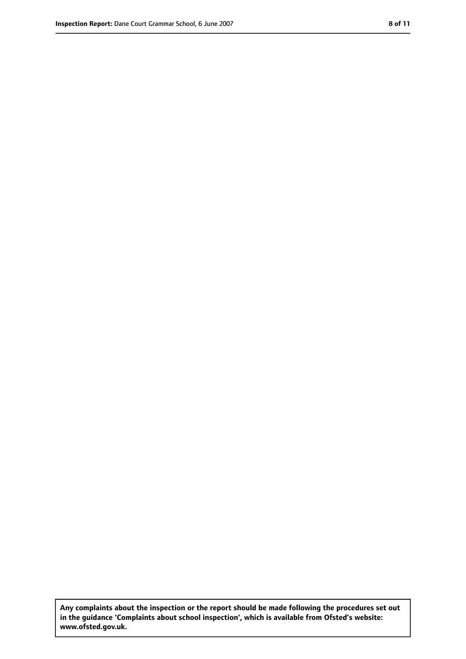**Any complaints about the inspection or the report should be made following the procedures set out in the guidance 'Complaints about school inspection', which is available from Ofsted's website: www.ofsted.gov.uk.**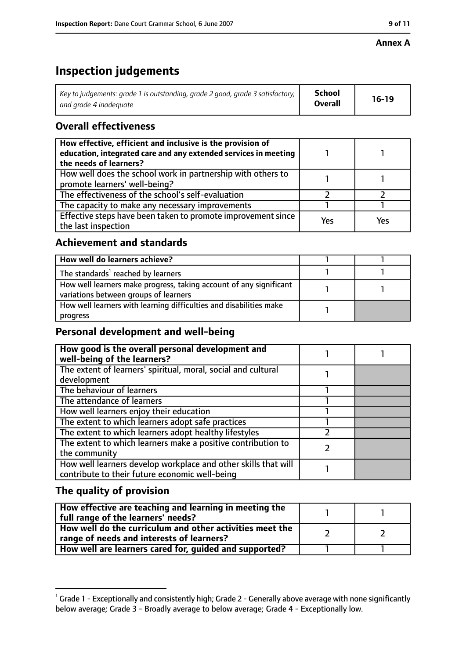#### **Annex A**

# **Inspection judgements**

| Key to judgements: grade 1 is outstanding, grade 2 good, grade 3 satisfactory, $\vert$ | School         | $16-19$ |
|----------------------------------------------------------------------------------------|----------------|---------|
| and arade 4 inadeauate                                                                 | <b>Overall</b> |         |

# **Overall effectiveness**

| How effective, efficient and inclusive is the provision of<br>education, integrated care and any extended services in meeting<br>the needs of learners? |     |     |
|---------------------------------------------------------------------------------------------------------------------------------------------------------|-----|-----|
| How well does the school work in partnership with others to<br>promote learners' well-being?                                                            |     |     |
| The effectiveness of the school's self-evaluation                                                                                                       |     |     |
| The capacity to make any necessary improvements                                                                                                         |     |     |
| Effective steps have been taken to promote improvement since<br>the last inspection                                                                     | Yes | Yes |

## **Achievement and standards**

| How well do learners achieve?                                                                               |  |
|-------------------------------------------------------------------------------------------------------------|--|
| The standards <sup>1</sup> reached by learners                                                              |  |
| How well learners make progress, taking account of any significant<br>variations between groups of learners |  |
| How well learners with learning difficulties and disabilities make<br>progress                              |  |

# **Personal development and well-being**

| How good is the overall personal development and<br>well-being of the learners?                                  |  |
|------------------------------------------------------------------------------------------------------------------|--|
| The extent of learners' spiritual, moral, social and cultural                                                    |  |
| development                                                                                                      |  |
| The behaviour of learners                                                                                        |  |
| The attendance of learners                                                                                       |  |
| How well learners enjoy their education                                                                          |  |
| The extent to which learners adopt safe practices                                                                |  |
| The extent to which learners adopt healthy lifestyles                                                            |  |
| The extent to which learners make a positive contribution to                                                     |  |
| the community                                                                                                    |  |
| How well learners develop workplace and other skills that will<br>contribute to their future economic well-being |  |

## **The quality of provision**

| How effective are teaching and learning in meeting the<br>full range of the learners' needs? |  |
|----------------------------------------------------------------------------------------------|--|
| How well do the curriculum and other activities meet the                                     |  |
| range of needs and interests of learners?                                                    |  |
| How well are learners cared for, guided and supported?                                       |  |

 $^1$  Grade 1 - Exceptionally and consistently high; Grade 2 - Generally above average with none significantly below average; Grade 3 - Broadly average to below average; Grade 4 - Exceptionally low.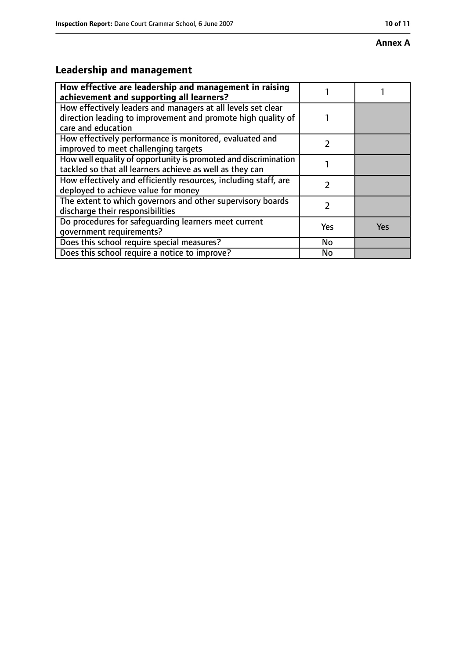#### **Annex A**

# **Leadership and management**

| How effective are leadership and management in raising<br>achievement and supporting all learners?                                                 |     |            |
|----------------------------------------------------------------------------------------------------------------------------------------------------|-----|------------|
| How effectively leaders and managers at all levels set clear<br>direction leading to improvement and promote high quality of<br>care and education |     |            |
| How effectively performance is monitored, evaluated and<br>improved to meet challenging targets                                                    |     |            |
| How well equality of opportunity is promoted and discrimination<br>tackled so that all learners achieve as well as they can                        |     |            |
| How effectively and efficiently resources, including staff, are<br>deployed to achieve value for money                                             |     |            |
| The extent to which governors and other supervisory boards<br>discharge their responsibilities                                                     |     |            |
| Do procedures for safequarding learners meet current<br>qovernment requirements?                                                                   | Yes | <b>Yes</b> |
| Does this school require special measures?                                                                                                         | No  |            |
| Does this school require a notice to improve?                                                                                                      | No  |            |